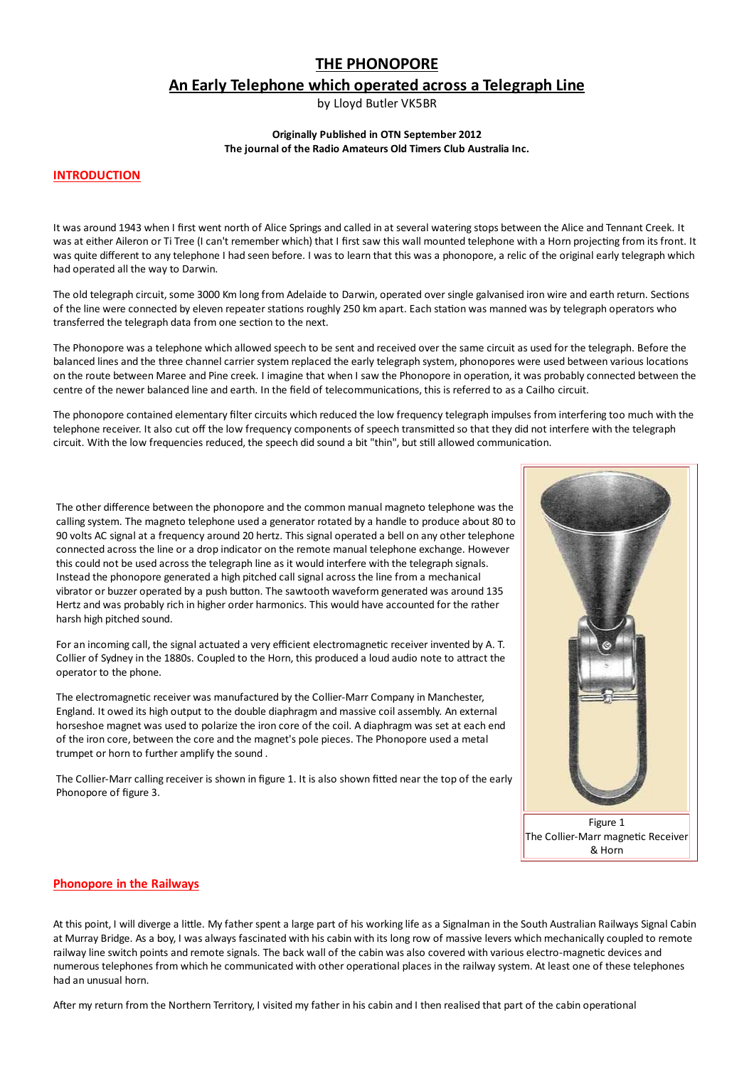# **THE PHONOPORE**

# An Early Telephone which operated across a Telegraph Line

by Lloyd Butler VK5BR

#### **Originally Published in OTN September 2012** The journal of the Radio Amateurs Old Timers Club Australia Inc.

#### **INTRODUCTION**

It was around 1943 when I first went north of Alice Springs and called in at several watering stops between the Alice and Tennant Creek. It was at either Aileron or Ti Tree (I can't remember which) that I first saw this wall mounted telephone with a Horn projecting from its front. It was quite different to any telephone I had seen before. I was to learn that this was a phonopore, a relic of the original early telegraph which had operated all the way to Darwin.

The old telegraph circuit, some 3000 Km long from Adelaide to Darwin, operated over single galvanised iron wire and earth return. Sections of the line were connected by eleven repeater stations roughly 250 km apart. Each station was manned was by telegraph operators who transferred the telegraph data from one section to the next.

The Phonopore was a telephone which allowed speech to be sent and received over the same circuit as used for the telegraph. Before the balanced lines and the three channel carrier system replaced the early telegraph system, phonopores were used between various locations on the route between Maree and Pine creek. I imagine that when I saw the Phonopore in operation, it was probably connected between the centre of the newer balanced line and earth. In the field of telecommunications, this is referred to as a Cailho circuit.

The phonopore contained elementary filter circuits which reduced the low frequency telegraph impulses from interfering too much with the telephone receiver. It also cut off the low frequency components of speech transmitted so that they did not interfere with the telegraph circuit. With the low frequencies reduced, the speech did sound a bit "thin", but still allowed communication.

The other difference between the phonopore and the common manual magneto telephone was the calling system. The magneto telephone used a generator rotated by a handle to produce about 80 to 90 volts AC signal at a frequency around 20 hertz. This signal operated a bell on any other telephone connected across the line or a drop indicator on the remote manual telephone exchange. However this could not be used across the telegraph line as it would interfere with the telegraph signals. Instead the phonopore generated a high pitched call signal across the line from a mechanical vibrator or buzzer operated by a push button. The sawtooth waveform generated was around 135 Hertz and was probably rich in higher order harmonics. This would have accounted for the rather harsh high pitched sound.

For an incoming call, the signal actuated a very efficient electromagnetic receiver invented by A. T. Collier of Sydney in the 1880s. Coupled to the Horn, this produced a loud audio note to attract the operator to the phone.

The electromagnetic receiver was manufactured by the Collier-Marr Company in Manchester, England. It owed its high output to the double diaphragm and massive coil assembly. An external horseshoe magnet was used to polarize the iron core of the coil. A diaphragm was set at each end of the iron core, between the core and the magnet's pole pieces. The Phonopore used a metal trumpet or horn to further amplify the sound.

The Collier-Marr calling receiver is shown in figure 1. It is also shown fitted near the top of the early Phonopore of figure 3.



# **Phonopore in the Railways**

At this point, I will diverge a little. My father spent a large part of his working life as a Signalman in the South Australian Railways Signal Cabin at Murray Bridge. As a boy, I was always fascinated with his cabin with its long row of massive levers which mechanically coupled to remote railway line switch points and remote signals. The back wall of the cabin was also covered with various electro-magnetic devices and numerous telephones from which he communicated with other operational places in the railway system. At least one of these telephones had an unusual horn.

After my return from the Northern Territory, I visited my father in his cabin and I then realised that part of the cabin operational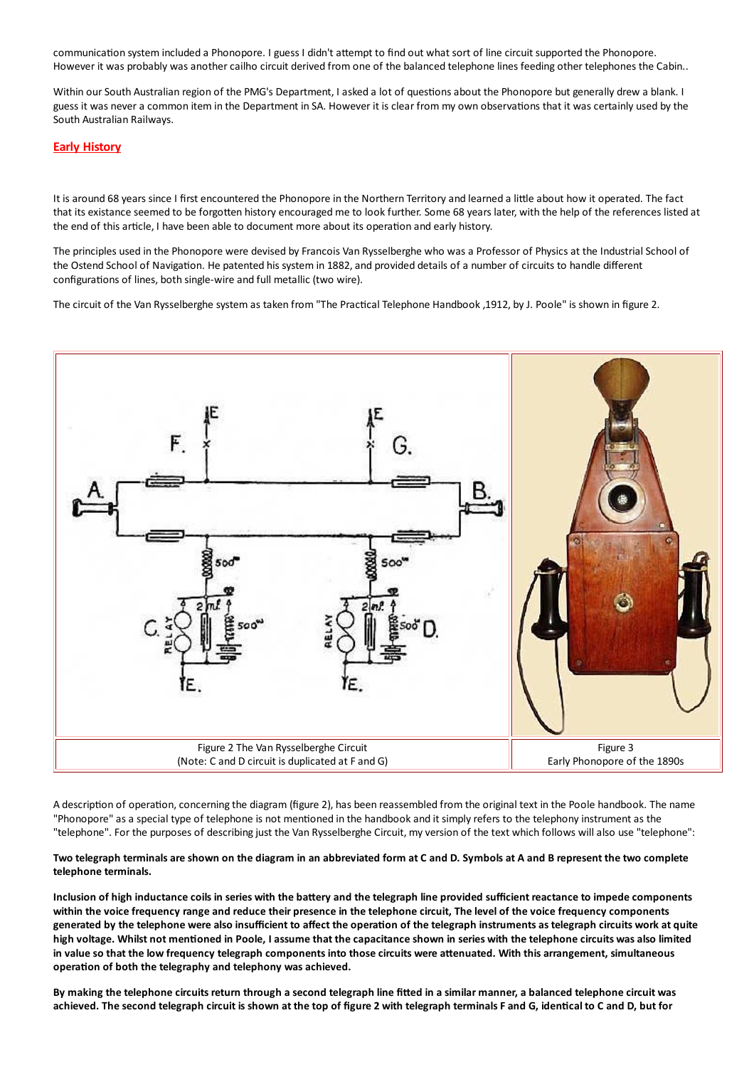communication system included a Phonopore. I guess I didn't attempt to find out what sort of line circuit supported the Phonopore. However it was probably was another cailho circuit derived from one of the balanced telephone lines feeding other telephones the Cabin..

Within our South Australian region of the PMG's Department, I asked a lot of questions about the Phonopore but generally drew a blank. I guess it was never a common item in the Department in SA. However it is clear from my own observations that it was certainly used by the South Australian Railways.

# **Early History**

It is around 68 years since I first encountered the Phonopore in the Northern Territory and learned a little about how it operated. The fact that its existance seemed to be forgotten history encouraged me to look further. Some 68 years later, with the help of the references listed at the end of this article, I have been able to document more about its operation and early history.

The principles used in the Phonopore were devised by Francois Van Rysselberghe who was a Professor of Physics at the Industrial School of the Ostend School of Navigation. He patented his system in 1882, and provided details of a number of circuits to handle different configurations of lines, both single-wire and full metallic (two wire).

The circuit of the Van Rysselberghe system as taken from "The Practical Telephone Handbook , 1912, by J. Poole" is shown in figure 2.



A description of operation, concerning the diagram (figure 2), has been reassembled from the original text in the Poole handbook. The name "Phonopore" as a special type of telephone is not mentioned in the handbook and it simply refers to the telephony instrument as the "telephone". For the purposes of describing just the Van Rysselberghe Circuit, my version of the text which follows will also use "telephone":

#### Two telegraph terminals are shown on the diagram in an abbreviated form at C and D. Symbols at A and B represent the two complete telephone terminals.

Inclusion of high inductance coils in series with the battery and the telegraph line provided sufficient reactance to impede components within the voice frequency range and reduce their presence in the telephone circuit. The level of the voice frequency components generated by the telephone were also insufficient to affect the operation of the telegraph instruments as telegraph circuits work at quite high voltage. Whilst not mentioned in Poole. I assume that the capacitance shown in series with the telephone circuits was also limited in value so that the low frequency telegraph components into those circuits were attenuated. With this arrangement, simultaneous operation of both the telegraphy and telephony was achieved.

By making the telephone circuits return through a second telegraph line fitted in a similar manner, a balanced telephone circuit was achieved. The second telegraph circuit is shown at the top of figure 2 with telegraph terminals F and G, identical to C and D, but for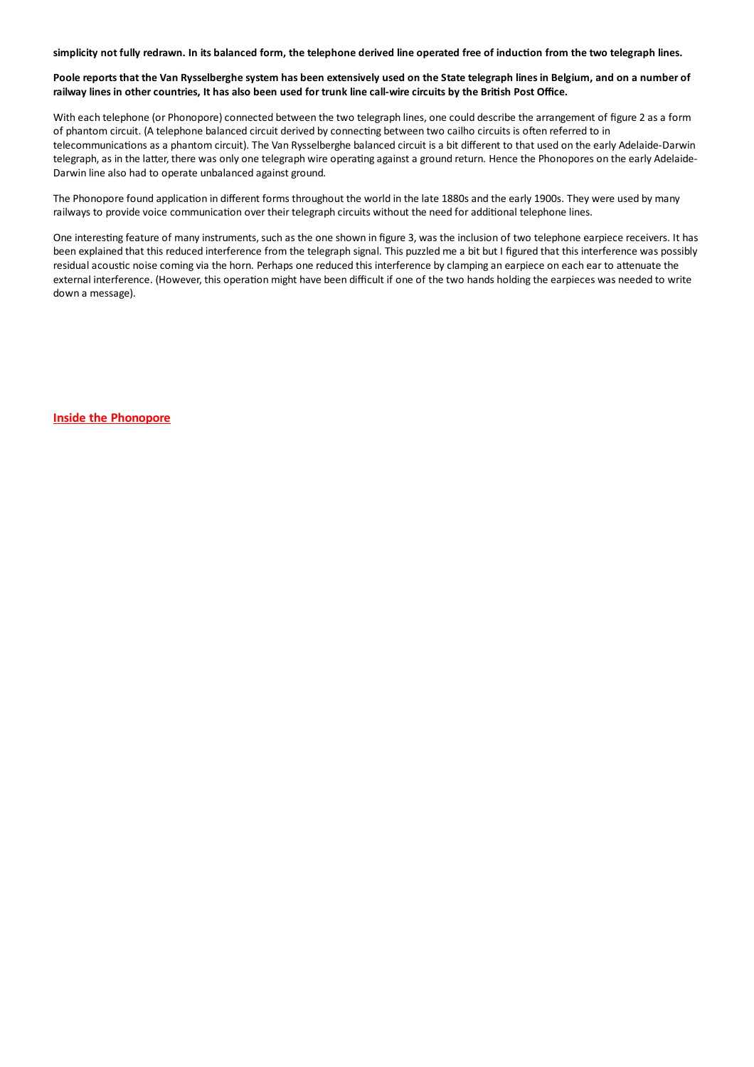simplicity not fully redrawn. In its balanced form, the telephone derived line operated free of induction from the two telegraph lines.

#### Poole reports that the Van Rysselberghe system has been extensively used on the State telegraph lines in Belgium, and on a number of railway lines in other countries, It has also been used for trunk line call-wire circuits by the British Post Office.

With each telephone (or Phonopore) connected between the two telegraph lines, one could describe the arrangement of figure 2 as a form of phantom circuit. (A telephone balanced circuit derived by connecting between two cailho circuits is often referred to in telecommunications as a phantom circuit). The Van Rysselberghe balanced circuit is a bit different to that used on the early Adelaide-Darwin telegraph, as in the latter, there was only one telegraph wire operating against a ground return. Hence the Phonopores on the early Adelaide-Darwin line also had to operate unbalanced against ground.

The Phonopore found application in different forms throughout the world in the late 1880s and the early 1900s. They were used by many railways to provide voice communication over their telegraph circuits without the need for additional telephone lines.

One interesting feature of many instruments, such as the one shown in figure 3, was the inclusion of two telephone earpiece receivers. It has been explained that this reduced interference from the telegraph signal. This puzzled me a bit but I figured that this interference was possibly residual acoustic noise coming via the horn. Perhaps one reduced this interference by clamping an earpiece on each ear to attenuate the external interference. (However, this operation might have been difficult if one of the two hands holding the earpieces was needed to write down a message).

**Inside the Phonopore**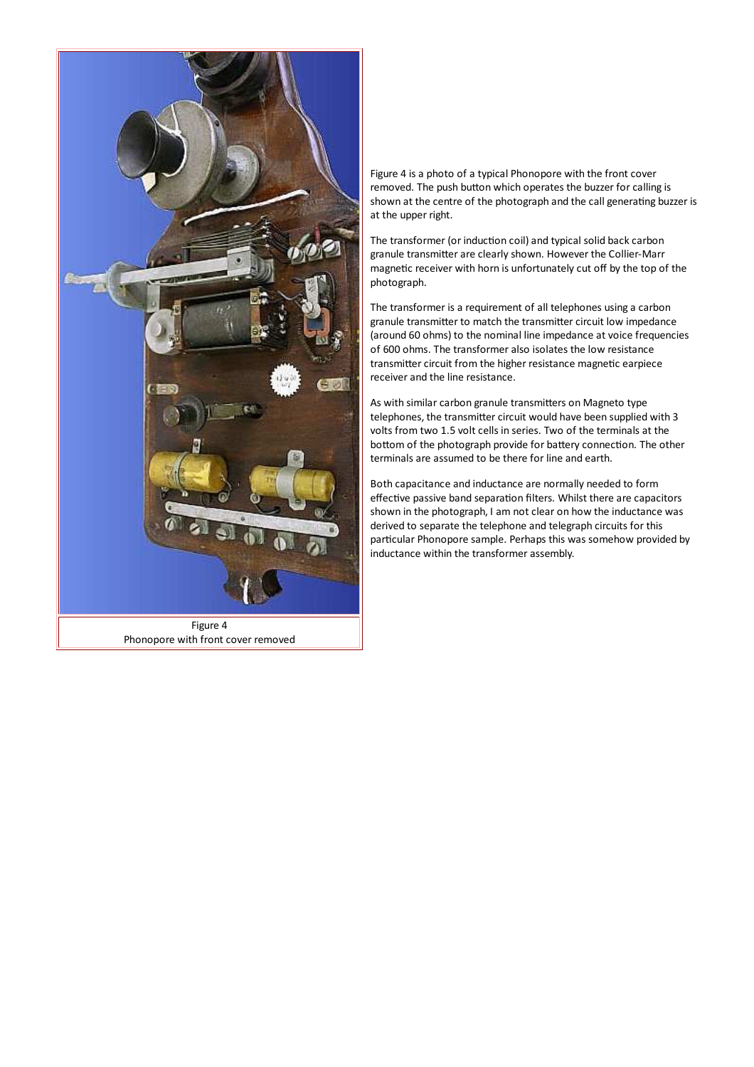

Figure 4 is a photo of a typical Phonopore with the front cover removed. The push button which operates the buzzer for calling is shown at the centre of the photograph and the call generating buzzer is at the upper right.

The transformer (or induction coil) and typical solid back carbon granule transmitter are clearly shown. However the Collier-Marr magnetic receiver with horn is unfortunately cut off by the top of the photograph.

The transformer is a requirement of all telephones using a carbon granule transmitter to match the transmitter circuit low impedance (around 60 ohms) to the nominal line impedance at voice frequencies of 600 ohms. The transformer also isolates the low resistance transmitter circuit from the higher resistance magnetic earpiece receiver and the line resistance.

As with similar carbon granule transmitters on Magneto type telephones, the transmitter circuit would have been supplied with 3 volts from two 1.5 volt cells in series. Two of the terminals at the bottom of the photograph provide for battery connection. The other terminals are assumed to be there for line and earth.

Both capacitance and inductance are normally needed to form effective passive band separation filters. Whilst there are capacitors shown in the photograph, I am not clear on how the inductance was derived to separate the telephone and telegraph circuits for this particular Phonopore sample. Perhaps this was somehow provided by inductance within the transformer assembly.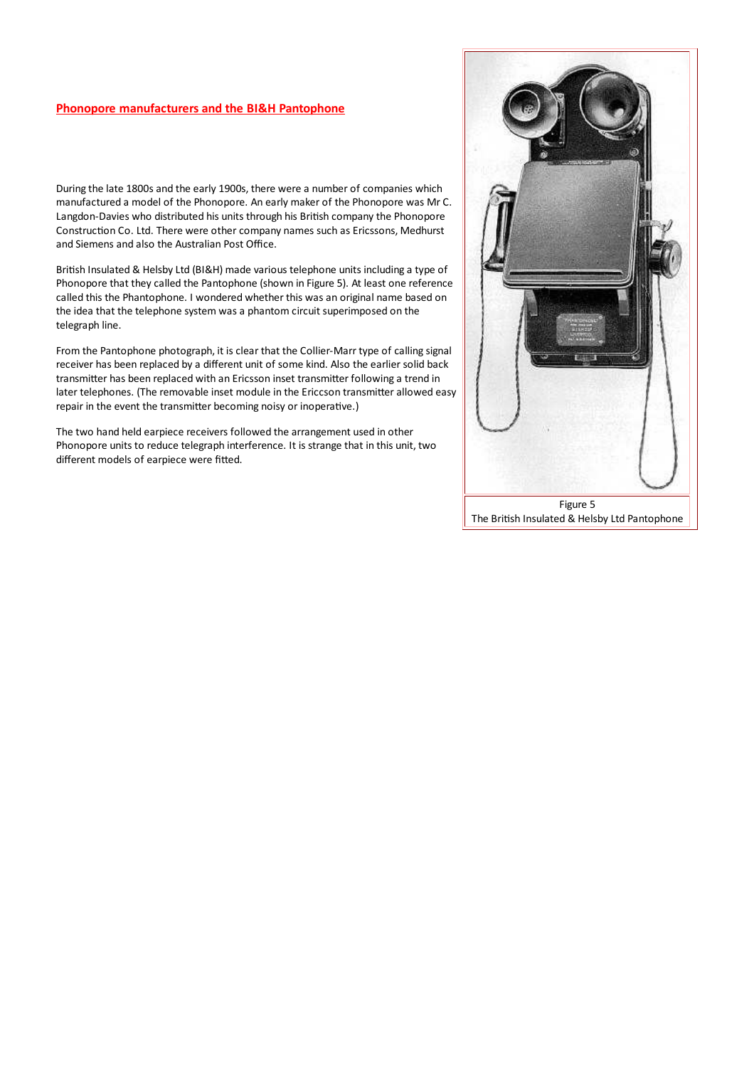# **Phonopore manufacturers and the BI&H Pantophone**

During the late 1800s and the early 1900s, there were a number of companies which manufactured a model of the Phonopore. An early maker of the Phonopore was Mr C. Langdon-Davies who distributed his units through his British company the Phonopore Construction Co. Ltd. There were other company names such as Ericssons, Medhurst and Siemens and also the Australian Post Office.

British Insulated & Helsby Ltd (BI&H) made various telephone units including a type of Phonopore that they called the Pantophone (shown in Figure 5). At least one reference called this the Phantophone. I wondered whether this was an original name based on the idea that the telephone system was a phantom circuit superimposed on the telegraph line.

From the Pantophone photograph, it is clear that the Collier-Marr type of calling signal receiver has been replaced by a different unit of some kind. Also the earlier solid back transmitter has been replaced with an Ericsson inset transmitter following a trend in later telephones. (The removable inset module in the Ericcson transmitter allowed easy repair in the event the transmitter becoming noisy or inoperative.)

The two hand held earpiece receivers followed the arrangement used in other Phonopore units to reduce telegraph interference. It is strange that in this unit, two different models of earpiece were fitted.